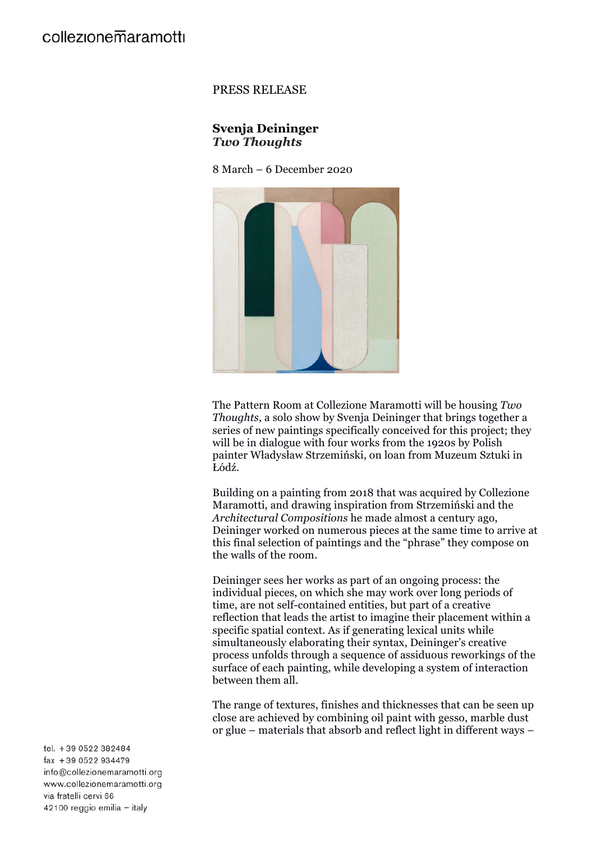## PRESS RELEASE

## **Svenja Deininger** *Two Thoughts*

8 March – 6 December 2020



The Pattern Room at Collezione Maramotti will be housing *Two Thoughts*, a solo show by Svenja Deininger that brings together a series of new paintings specifically conceived for this project; they will be in dialogue with four works from the 1920s by Polish painter Władysław Strzemiński, on loan from Muzeum Sztuki in Łódź.

Building on a painting from 2018 that was acquired by Collezione Maramotti, and drawing inspiration from Strzemiński and the *Architectural Compositions* he made almost a century ago, Deininger worked on numerous pieces at the same time to arrive at this final selection of paintings and the "phrase" they compose on the walls of the room.

Deininger sees her works as part of an ongoing process: the individual pieces, on which she may work over long periods of time, are not self-contained entities, but part of a creative reflection that leads the artist to imagine their placement within a specific spatial context. As if generating lexical units while simultaneously elaborating their syntax, Deininger's creative process unfolds through a sequence of assiduous reworkings of the surface of each painting, while developing a system of interaction between them all.

The range of textures, finishes and thicknesses that can be seen up close are achieved by combining oil paint with gesso, marble dust or glue – materials that absorb and reflect light in different ways –

tel. +39 0522 382484  $\{ax + 390522934479$ info@collezionemaramotti.org www.collezionemaramotti.org via fratelli cervi 66 42100 reggio emilia - italy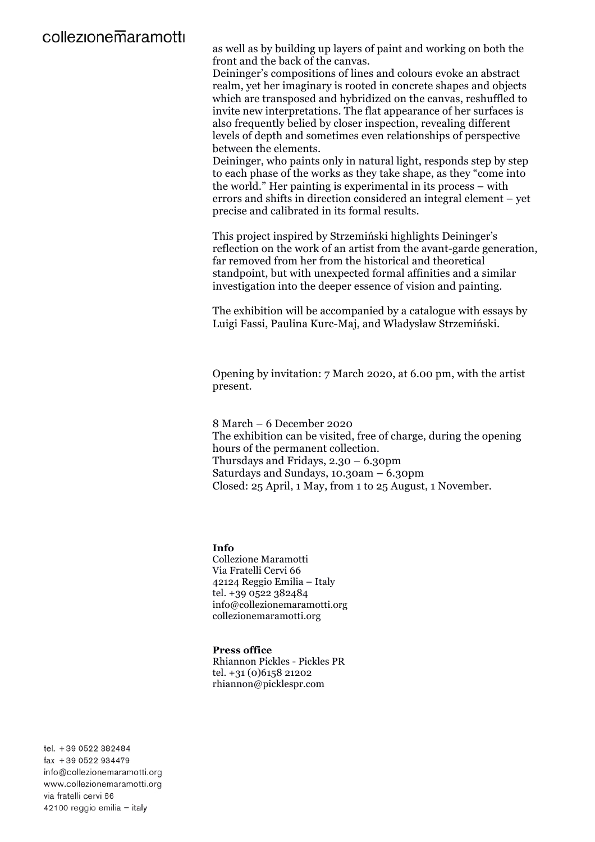# collezionemaramotti

as well as by building up layers of paint and working on both the front and the back of the canvas.

Deininger's compositions of lines and colours evoke an abstract realm, yet her imaginary is rooted in concrete shapes and objects which are transposed and hybridized on the canvas, reshuffled to invite new interpretations. The flat appearance of her surfaces is also frequently belied by closer inspection, revealing different levels of depth and sometimes even relationships of perspective between the elements.

Deininger, who paints only in natural light, responds step by step to each phase of the works as they take shape, as they "come into the world." Her painting is experimental in its process – with errors and shifts in direction considered an integral element – yet precise and calibrated in its formal results.

This project inspired by Strzemiński highlights Deininger's reflection on the work of an artist from the avant-garde generation, far removed from her from the historical and theoretical standpoint, but with unexpected formal affinities and a similar investigation into the deeper essence of vision and painting.

The exhibition will be accompanied by a catalogue with essays by Luigi Fassi, Paulina Kurc-Maj, and Władysław Strzemiński.

Opening by invitation: 7 March 2020, at 6.00 pm, with the artist present.

8 March – 6 December 2020 The exhibition can be visited, free of charge, during the opening hours of the permanent collection. Thursdays and Fridays, 2.30 – 6.30pm Saturdays and Sundays, 10.30am – 6.30pm Closed: 25 April, 1 May, from 1 to 25 August, 1 November.

### **Info**

Collezione Maramotti Via Fratelli Cervi 66 42124 Reggio Emilia – Italy tel. +39 0522 382484 info@collezionemaramotti.org collezionemaramotti.org

#### **Press office**

Rhiannon Pickles - Pickles PR tel. +31 (0)6158 21202 rhiannon@picklespr.com

tel. +39 0522 382484 fax +39 0522 934479 info@collezionemaramotti.org www.collezionemaramotti.org via fratelli cervi 66 42100 reggio emilia - italy